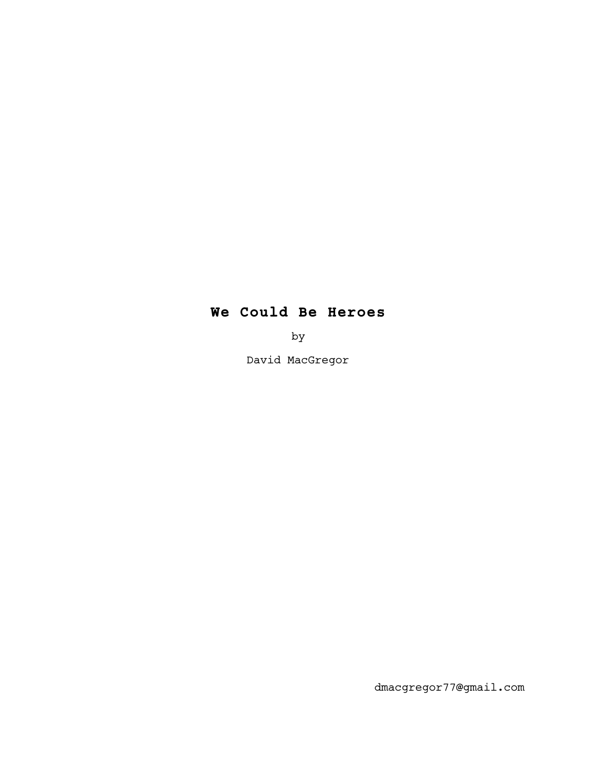## **We Could Be Heroes**

by

David MacGregor

dmacgregor77@gmail.com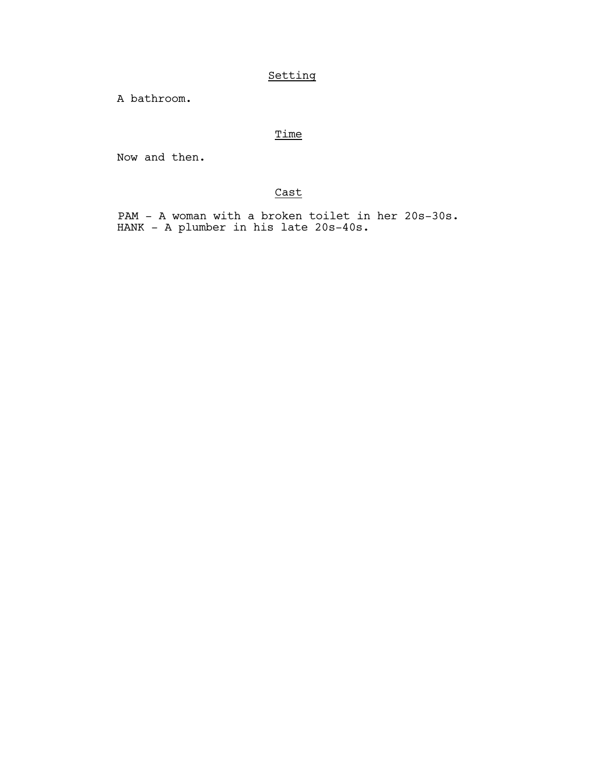## Setting

A bathroom.

## **Time**

Now and then.

## Cast

 PAM - A woman with a broken toilet in her 20s-30s. HANK - A plumber in his late 20s-40s.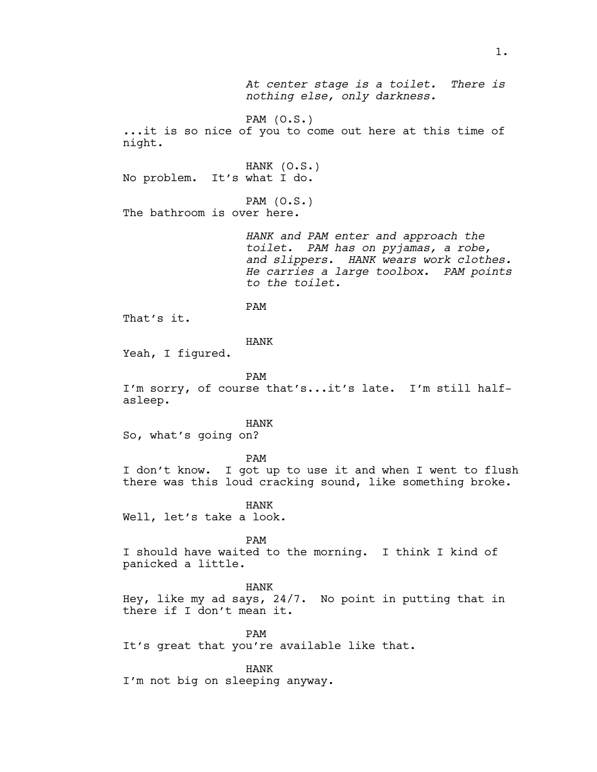*At center stage is a toilet. There is nothing else, only darkness.* PAM (O.S.) ...it is so nice of you to come out here at this time of night. HANK (O.S.) No problem. It's what I do. PAM (O.S.) The bathroom is over here. *HANK and PAM enter and approach the toilet. PAM has on pyjamas, a robe, and slippers. HANK wears work clothes. He carries a large toolbox. PAM points to the toilet.* PAM That's it. HANK Yeah, I figured. PAM I'm sorry, of course that's...it's late. I'm still halfasleep. HANK So, what's going on? PAM I don't know. I got up to use it and when I went to flush there was this loud cracking sound, like something broke. HANK Well, let's take a look. PAM I should have waited to the morning. I think I kind of panicked a little. HANK Hey, like my ad says, 24/7. No point in putting that in there if I don't mean it. PAM It's great that you're available like that. HANK

I'm not big on sleeping anyway.

1.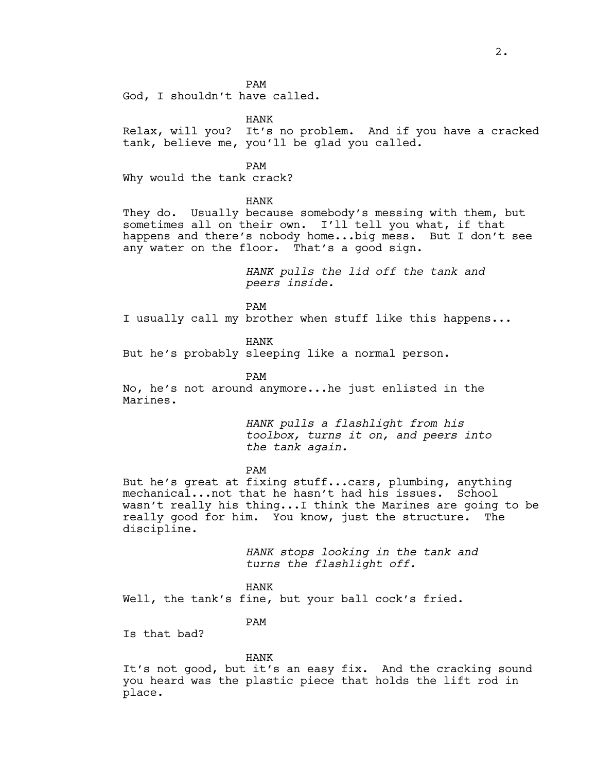PAM

God, I shouldn't have called.

HANK

Relax, will you? It's no problem. And if you have a cracked tank, believe me, you'll be glad you called.

PAM

Why would the tank crack?

HANK

They do. Usually because somebody's messing with them, but sometimes all on their own. I'll tell you what, if that happens and there's nobody home...big mess. But I don't see any water on the floor. That's a good sign.

> *HANK pulls the lid off the tank and peers inside.*

PAM

I usually call my brother when stuff like this happens...

HANK

But he's probably sleeping like a normal person.

PAM

No, he's not around anymore...he just enlisted in the Marines.

> *HANK pulls a flashlight from his toolbox, turns it on, and peers into the tank again.*

PAM

But he's great at fixing stuff...cars, plumbing, anything mechanical...not that he hasn't had his issues. School wasn't really his thing...I think the Marines are going to be really good for him. You know, just the structure. The discipline.

> *HANK stops looking in the tank and turns the flashlight off.*

HANK

Well, the tank's fine, but your ball cock's fried.

PAM

Is that bad?

HANK

It's not good, but it's an easy fix. And the cracking sound you heard was the plastic piece that holds the lift rod in place.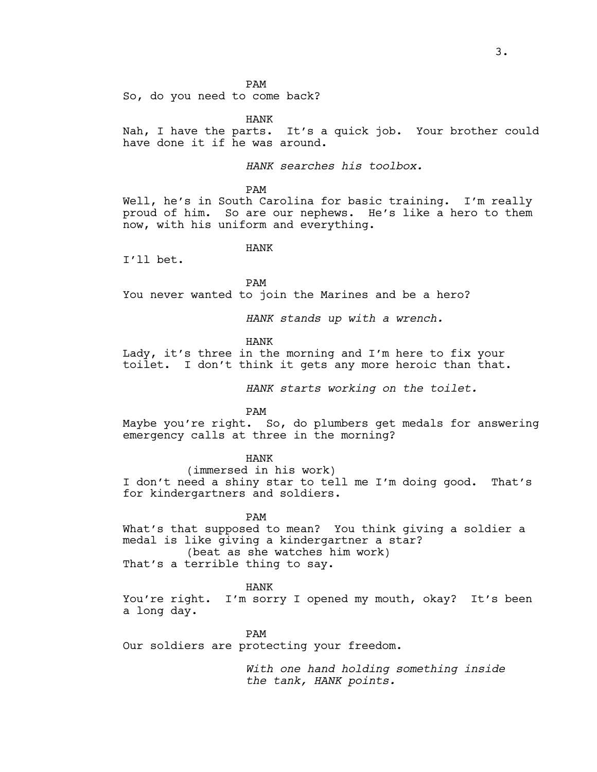PAM

So, do you need to come back?

HANK

Nah, I have the parts. It's a quick job. Your brother could have done it if he was around.

*HANK searches his toolbox.*

PAM

Well, he's in South Carolina for basic training. I'm really proud of him. So are our nephews. He's like a hero to them now, with his uniform and everything.

HANK

I'll bet.

PAM

You never wanted to join the Marines and be a hero?

*HANK stands up with a wrench.*

HANK

Lady, it's three in the morning and I'm here to fix your toilet. I don't think it gets any more heroic than that.

*HANK starts working on the toilet.*

PAM

Maybe you're right. So, do plumbers get medals for answering emergency calls at three in the morning?

HANK

(immersed in his work) I don't need a shiny star to tell me I'm doing good. That's for kindergartners and soldiers.

PAM What's that supposed to mean? You think giving a soldier a medal is like giving a kindergartner a star? (beat as she watches him work) That's a terrible thing to say.

HANK

You're right. I'm sorry I opened my mouth, okay? It's been a long day.

PAM Our soldiers are protecting your freedom.

*With one hand holding something inside the tank, HANK points.*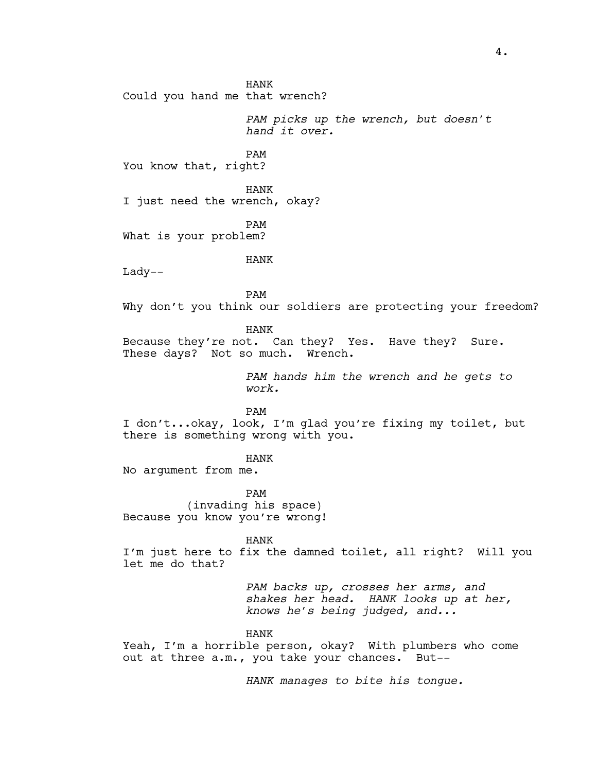HANK Could you hand me that wrench? *PAM picks up the wrench, but doesn't hand it over.* PAM You know that, right? HANK I just need the wrench, okay? PAM What is your problem? HANK Lady-- PAM Why don't you think our soldiers are protecting your freedom? HANK Because they're not. Can they? Yes. Have they? Sure. These days? Not so much. Wrench. *PAM hands him the wrench and he gets to work.* PAM I don't...okay, look, I'm glad you're fixing my toilet, but there is something wrong with you. HANK No argument from me. PAM (invading his space) Because you know you're wrong! HANK I'm just here to fix the damned toilet, all right? Will you let me do that? *PAM backs up, crosses her arms, and shakes her head. HANK looks up at her, knows he's being judged, and...* HANK Yeah, I'm a horrible person, okay? With plumbers who come out at three a.m., you take your chances. But--

*HANK manages to bite his tongue.*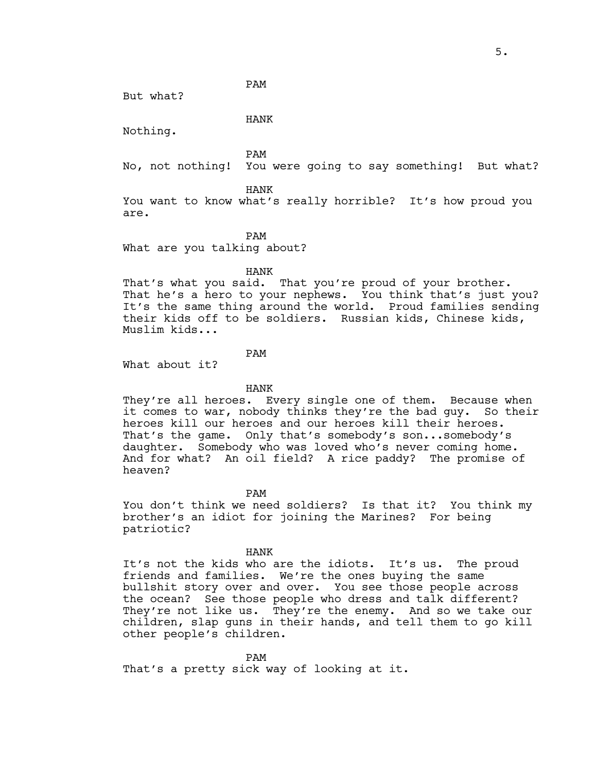But what?

HANK

PAM

Nothing.

PAM

No, not nothing! You were going to say something! But what?

HANK

You want to know what's really horrible? It's how proud you are.

PAM

What are you talking about?

HANK

That's what you said. That you're proud of your brother. That he's a hero to your nephews. You think that's just you? It's the same thing around the world. Proud families sending their kids off to be soldiers. Russian kids, Chinese kids, Muslim kids...

PAM

What about it?

HANK

They're all heroes. Every single one of them. Because when it comes to war, nobody thinks they're the bad guy. So their heroes kill our heroes and our heroes kill their heroes. That's the game. Only that's somebody's son...somebody's daughter. Somebody who was loved who's never coming home. And for what? An oil field? A rice paddy? The promise of heaven?

PAM

You don't think we need soldiers? Is that it? You think my brother's an idiot for joining the Marines? For being patriotic?

HANK

It's not the kids who are the idiots. It's us. The proud friends and families. We're the ones buying the same bullshit story over and over. You see those people across the ocean? See those people who dress and talk different? They're not like us. They're the enemy. And so we take our children, slap guns in their hands, and tell them to go kill other people's children.

PAM

That's a pretty sick way of looking at it.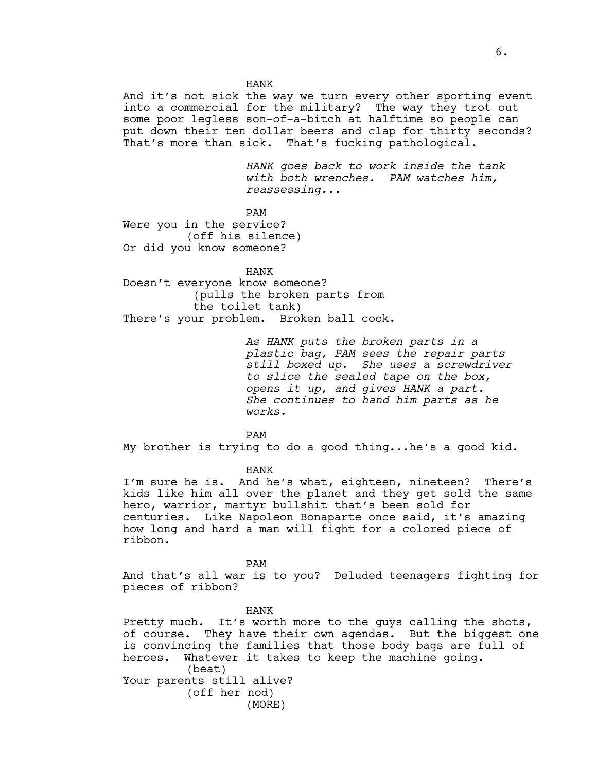HANK And it's not sick the way we turn every other sporting event into a commercial for the military? The way they trot out some poor legless son-of-a-bitch at halftime so people can put down their ten dollar beers and clap for thirty seconds? That's more than sick. That's fucking pathological.

> *HANK goes back to work inside the tank with both wrenches. PAM watches him, reassessing...*

PAM

Were you in the service? (off his silence) Or did you know someone?

HANK

Doesn't everyone know someone? (pulls the broken parts from the toilet tank) There's your problem. Broken ball cock.

> *As HANK puts the broken parts in a plastic bag, PAM sees the repair parts still boxed up. She uses a screwdriver to slice the sealed tape on the box, opens it up, and gives HANK a part. She continues to hand him parts as he works.*

PAM

My brother is trying to do a good thing...he's a good kid.

HANK

I'm sure he is. And he's what, eighteen, nineteen? There's kids like him all over the planet and they get sold the same hero, warrior, martyr bullshit that's been sold for centuries. Like Napoleon Bonaparte once said, it's amazing how long and hard a man will fight for a colored piece of ribbon.

PAM

And that's all war is to you? Deluded teenagers fighting for pieces of ribbon?

HANK

Pretty much. It's worth more to the guys calling the shots, of course. They have their own agendas. But the biggest one is convincing the families that those body bags are full of heroes. Whatever it takes to keep the machine going. (beat) Your parents still alive? (off her nod) (MORE)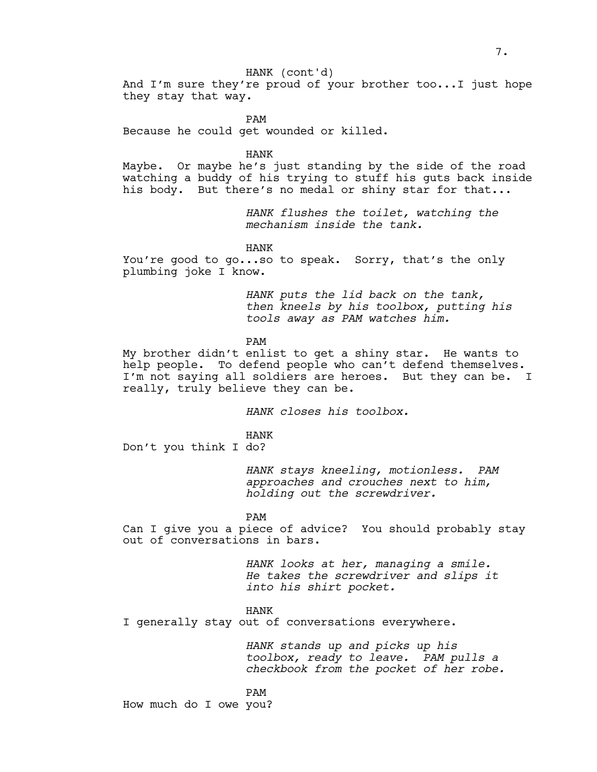HANK (cont'd)

And I'm sure they're proud of your brother too...I just hope they stay that way.

PAM Because he could get wounded or killed.

HANK

Maybe. Or maybe he's just standing by the side of the road watching a buddy of his trying to stuff his guts back inside his body. But there's no medal or shiny star for that...

> *HANK flushes the toilet, watching the mechanism inside the tank.*

HANK

You're good to go...so to speak. Sorry, that's the only plumbing joke I know.

> *HANK puts the lid back on the tank, then kneels by his toolbox, putting his tools away as PAM watches him.*

PAM

My brother didn't enlist to get a shiny star. He wants to help people. To defend people who can't defend themselves. I'm not saying all soldiers are heroes. But they can be. I really, truly believe they can be.

*HANK closes his toolbox.*

HANK Don't you think I do?

> *HANK stays kneeling, motionless. PAM approaches and crouches next to him, holding out the screwdriver.*

PAM

Can I give you a piece of advice? You should probably stay out of conversations in bars.

> *HANK looks at her, managing a smile. He takes the screwdriver and slips it into his shirt pocket.*

HANK

I generally stay out of conversations everywhere.

*HANK stands up and picks up his toolbox, ready to leave. PAM pulls a checkbook from the pocket of her robe.*

PAM How much do I owe you?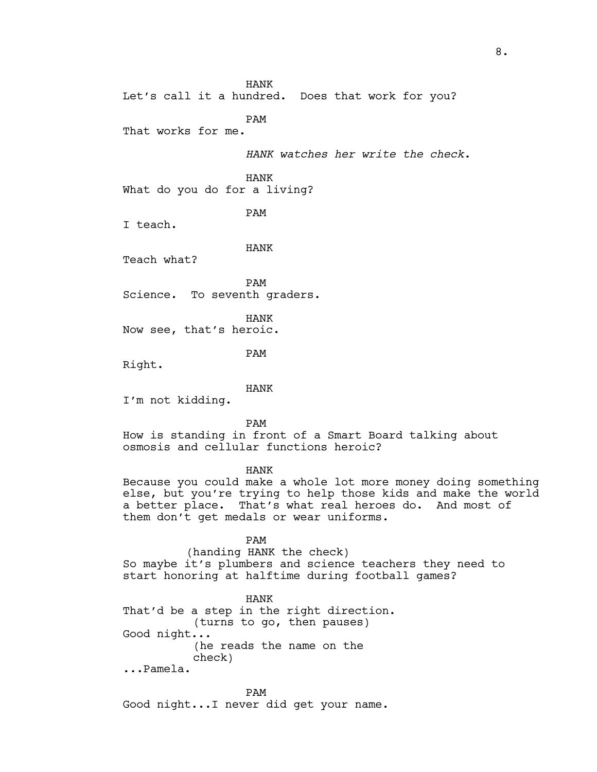HANK Let's call it a hundred. Does that work for you? PAM That works for me. *HANK watches her write the check.* HANK What do you do for a living? PAM I teach. HANK Teach what? PAM Science. To seventh graders. HANK Now see, that's heroic. PAM Right. HANK I'm not kidding. PAM How is standing in front of a Smart Board talking about osmosis and cellular functions heroic? HANK Because you could make a whole lot more money doing something else, but you're trying to help those kids and make the world a better place. That's what real heroes do. And most of them don't get medals or wear uniforms. PAM (handing HANK the check) So maybe it's plumbers and science teachers they need to start honoring at halftime during football games? HANK That'd be a step in the right direction. (turns to go, then pauses) Good night...

 (he reads the name on the check)

...Pamela.

PAM Good night...I never did get your name. 8.